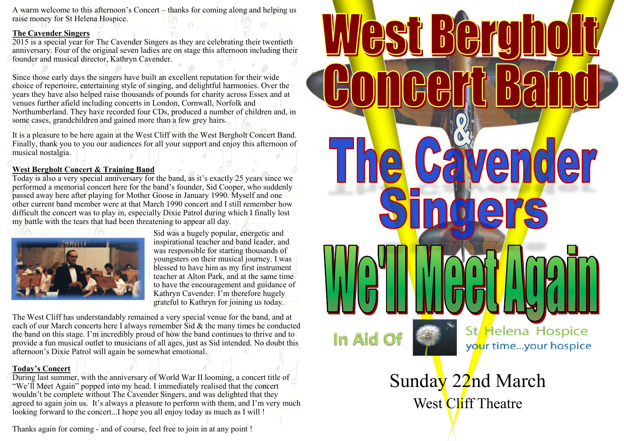A warm welcome to this afternoon's Concert – thanks for coming along and helping us raise money for St Helena Hospice.

## **The Cavender Singers**

2015 is a special year for The Cavender Singers as they are celebrating their twentieth anniversary. Four of the original seven ladies are on stage this afternoon including their founder and musical director, Kathryn Cavender.

Since those early days the singers have built an excellent reputation for their wide choice of repertoire, entertaining style of singing, and delightful harmonies. Over the years they have also helped raise thousands of pounds for charity across Essex and at venues further afield including concerts in London, Cornwall, Norfolk and Northumberland. They have recorded four CDs, produced a number of children and, in some cases, grandchildren and gained more than a few grey hairs.

It is a pleasure to be here again at the West Cliff with the West Bergholt Concert Band. Finally, thank you to you our audiences for all your support and enjoy this afternoon of musical nostalgia.

## **West Bergholt Concert & Training Band**

Today is also a very special anniversary for the band, as it's exactly 25 years since we performed a memorial concert here for the band's founder, Sid Cooper, who suddenly passed away here after playing for Mother Goose in January 1990. Myself and one other current band member were at that March 1990 concert and I still remember how difficult the concert was to play in, especially Dixie Patrol during which I finally lost my battle with the tears that had been threatening to appear all day.



Sid was a hugely popular, energetic and inspirational teacher and band leader, and was responsible for starting thousands of youngsters on their musical journey. I was blessed to have him as my first instrument teacher at Alton Park, and at the same time to have the encouragement and guidance of Kathryn Cavender. I'm therefore hugely grateful to Kathryn for joining us today.

The West Cliff has understandably remained a very special venue for the band, and at each of our March concerts here I always remember  $\hat{S}$ id & the many times he conducted the band on this stage. I'm incredibly proud of how the band continues to thrive and to provide a fun musical outlet to musicians of all ages, just as Sid intended. No doubt this afternoon's Dixie Patrol will again be somewhat emotional.

## **Today's Concert**

During last summer, with the anniversary of World War II looming, a concert title of "We'll Meet Again" popped into my head. I immediately realised that the concert wouldn't be complete without The Cavender Singers, and was delighted that they agreed to again join us. It's always a pleasure to perform with them, and I'm very much looking forward to the concert...I hope you all enjoy today as much as I will !

Thanks again for coming - and of course, feel free to join in at any point !



Sunday 22nd March West Cliff Theatre